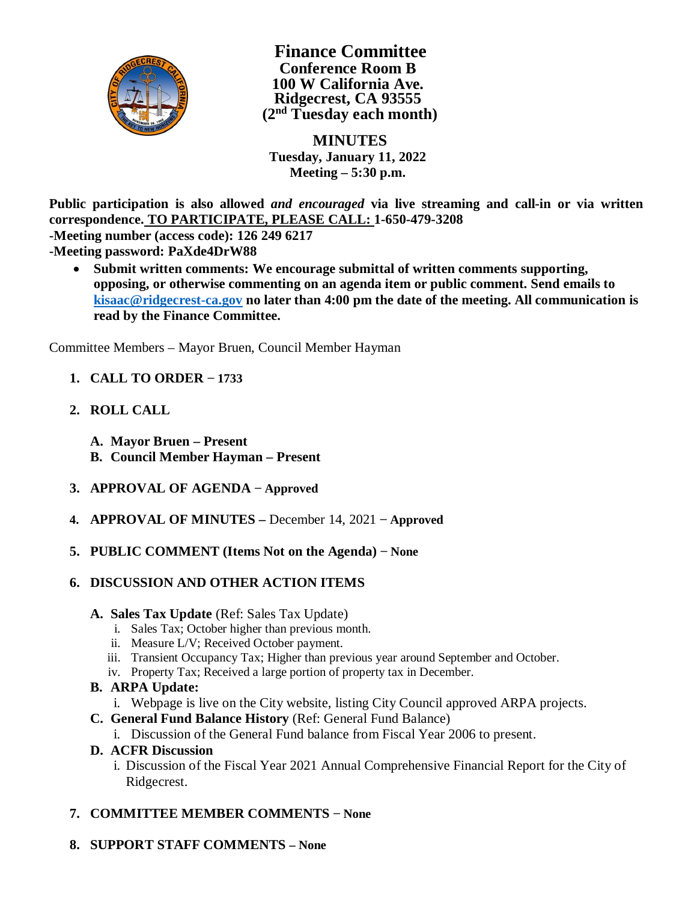

**Finance Committee Conference Room B 100 W California Ave. Ridgecrest, CA 93555 (2nd Tuesday each month)**

 **MINUTES Tuesday, January 11, 2022 Meeting – 5:30 p.m.**

**Public participation is also allowed** *and encouraged* **via live streaming and call-in or via written correspondence. TO PARTICIPATE, PLEASE CALL: 1-650-479-3208**

**-Meeting number (access code): 126 249 6217**

- **-Meeting password: PaXde4DrW88**
	- · **Submit written comments: We encourage submittal of written comments supporting, opposing, or otherwise commenting on an agenda item or public comment. Send emails to kisaac@ridgecrest-ca.gov no later than 4:00 pm the date of the meeting. All communication is read by the Finance Committee.**

Committee Members – Mayor Bruen, Council Member Hayman

- **1. CALL TO ORDER − 1733**
- **2. ROLL CALL**
	- **A. Mayor Bruen Present**
	- **B. Council Member Hayman Present**
- **3. APPROVAL OF AGENDA − Approved**
- **4. APPROVAL OF MINUTES –** December 14, 2021 **− Approved**
- **5. PUBLIC COMMENT (Items Not on the Agenda) − None**
- **6. DISCUSSION AND OTHER ACTION ITEMS**
	- **A. Sales Tax Update** (Ref: Sales Tax Update)
		- i. Sales Tax; October higher than previous month.
		- ii. Measure L/V; Received October payment.
		- iii. Transient Occupancy Tax; Higher than previous year around September and October.
		- iv. Property Tax; Received a large portion of property tax in December.
	- **B. ARPA Update:**
		- i. Webpage is live on the City website, listing City Council approved ARPA projects.
	- **C. General Fund Balance History** (Ref: General Fund Balance)
		- i. Discussion of the General Fund balance from Fiscal Year 2006 to present.
	- **D. ACFR Discussion**
		- i. Discussion of the Fiscal Year 2021 Annual Comprehensive Financial Report for the City of Ridgecrest.
- **7. COMMITTEE MEMBER COMMENTS − None**
- **8. SUPPORT STAFF COMMENTS None**